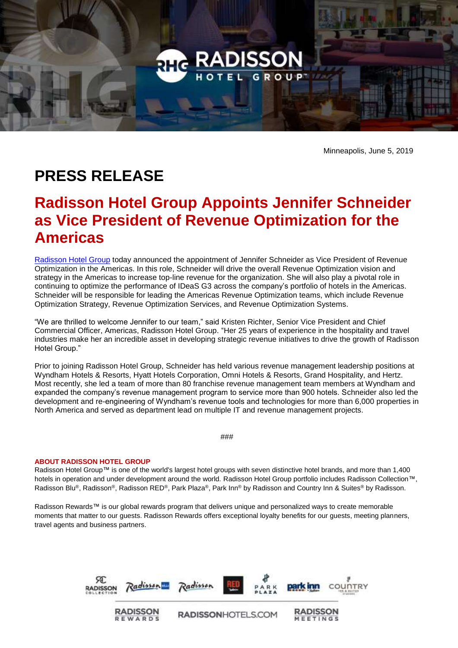

Minneapolis, June 5, 2019

## **PRESS RELEASE**

## **Radisson Hotel Group Appoints Jennifer Schneider as Vice President of Revenue Optimization for the Americas**

[Radisson Hotel Group](https://www.radissonhotelgroup.com/) today announced the appointment of Jennifer Schneider as Vice President of Revenue Optimization in the Americas. In this role, Schneider will drive the overall Revenue Optimization vision and strategy in the Americas to increase top-line revenue for the organization. She will also play a pivotal role in continuing to optimize the performance of IDeaS G3 across the company's portfolio of hotels in the Americas. Schneider will be responsible for leading the Americas Revenue Optimization teams, which include Revenue Optimization Strategy, Revenue Optimization Services, and Revenue Optimization Systems.

"We are thrilled to welcome Jennifer to our team," said Kristen Richter, Senior Vice President and Chief Commercial Officer, Americas, Radisson Hotel Group. "Her 25 years of experience in the hospitality and travel industries make her an incredible asset in developing strategic revenue initiatives to drive the growth of Radisson Hotel Group."

Prior to joining Radisson Hotel Group, Schneider has held various revenue management leadership positions at Wyndham Hotels & Resorts, Hyatt Hotels Corporation, Omni Hotels & Resorts, Grand Hospitality, and Hertz. Most recently, she led a team of more than 80 franchise revenue management team members at Wyndham and expanded the company's revenue management program to service more than 900 hotels. Schneider also led the development and re-engineering of Wyndham's revenue tools and technologies for more than 6,000 properties in North America and served as department lead on multiple IT and revenue management projects.

###

## **ABOUT RADISSON HOTEL GROUP**

Radisson Hotel Group™ is one of the world's largest hotel groups with seven distinctive hotel brands, and more than 1,400 hotels in operation and under development around the world. Radisson Hotel Group portfolio includes Radisson Collection™, Radisson Blu®, Radisson®, Radisson RED®, Park Plaza®, Park Inn® by Radisson and Country Inn & Suites® by Radisson.

Radisson Rewards™ is our global rewards program that delivers unique and personalized ways to create memorable moments that matter to our guests. Radisson Rewards offers exceptional loyalty benefits for our guests, meeting planners, travel agents and business partners.